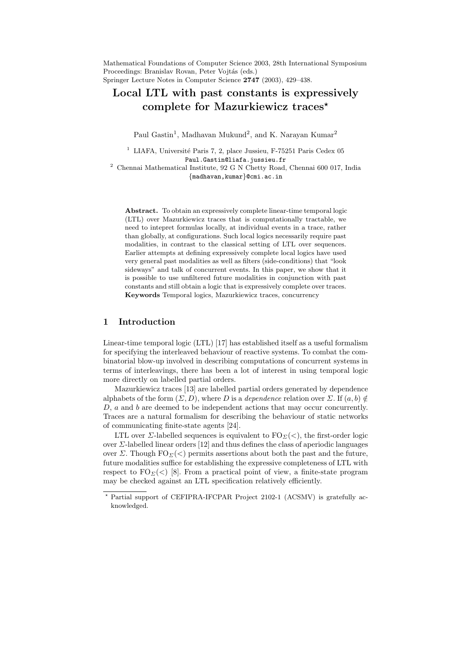Mathematical Foundations of Computer Science 2003, 28th International Symposium Proceedings: Branislav Rovan, Peter Vojtás (eds.) Springer Lecture Notes in Computer Science 2747 (2003), 429–438.

# Local LTL with past constants is expressively complete for Mazurkiewicz traces<sup>\*</sup>

Paul Gastin<sup>1</sup>, Madhavan Mukund<sup>2</sup>, and K. Narayan Kumar<sup>2</sup>

<sup>1</sup> LIAFA, Université Paris 7, 2, place Jussieu, F-75251 Paris Cedex 05 Paul.Gastin@liafa.jussieu.fr

<sup>2</sup> Chennai Mathematical Institute, 92 G N Chetty Road, Chennai 600 017, India {madhavan,kumar}@cmi.ac.in

Abstract. To obtain an expressively complete linear-time temporal logic (LTL) over Mazurkiewicz traces that is computationally tractable, we need to intepret formulas locally, at individual events in a trace, rather than globally, at configurations. Such local logics necessarily require past modalities, in contrast to the classical setting of LTL over sequences. Earlier attempts at defining expressively complete local logics have used very general past modalities as well as filters (side-conditions) that "look sideways" and talk of concurrent events. In this paper, we show that it is possible to use unfiltered future modalities in conjunction with past constants and still obtain a logic that is expressively complete over traces. Keywords Temporal logics, Mazurkiewicz traces, concurrency

## 1 Introduction

Linear-time temporal logic (LTL) [17] has established itself as a useful formalism for specifying the interleaved behaviour of reactive systems. To combat the combinatorial blow-up involved in describing computations of concurrent systems in terms of interleavings, there has been a lot of interest in using temporal logic more directly on labelled partial orders.

Mazurkiewicz traces [13] are labelled partial orders generated by dependence alphabets of the form  $(\Sigma, D)$ , where D is a dependence relation over  $\Sigma$ . If  $(a, b) \notin$ D, a and b are deemed to be independent actions that may occur concurrently. Traces are a natural formalism for describing the behaviour of static networks of communicating finite-state agents [24].

LTL over  $\Sigma$ -labelled sequences is equivalent to  $\mathrm{FO}_{\Sigma}(\langle \rangle)$ , the first-order logic over  $\Sigma$ -labelled linear orders [12] and thus defines the class of aperiodic languages over  $\Sigma$ . Though FO<sub> $\Sigma$ </sub>(<) permits assertions about both the past and the future, future modalities suffice for establishing the expressive completeness of LTL with respect to  $\text{FO}_{\Sigma}(\le)$  [8]. From a practical point of view, a finite-state program may be checked against an LTL specification relatively efficiently.

<sup>?</sup> Partial support of CEFIPRA-IFCPAR Project 2102-1 (ACSMV) is gratefully acknowledged.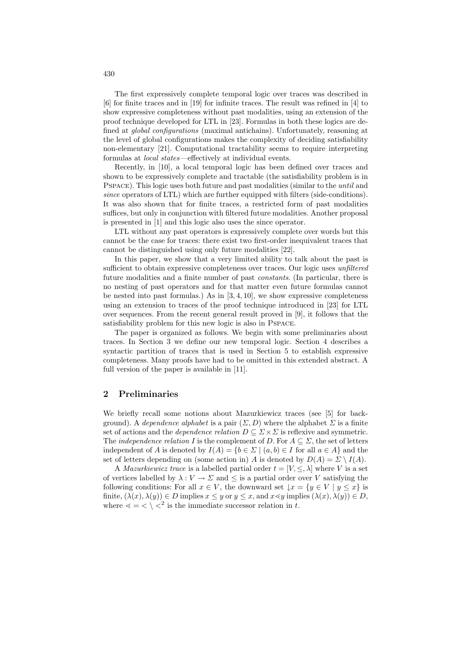The first expressively complete temporal logic over traces was described in [6] for finite traces and in [19] for infinite traces. The result was refined in [4] to show expressive completeness without past modalities, using an extension of the proof technique developed for LTL in [23]. Formulas in both these logics are defined at global configurations (maximal antichains). Unfortunately, reasoning at the level of global configurations makes the complexity of deciding satisfiability non-elementary [21]. Computational tractability seems to require interpreting formulas at local states—effectively at individual events.

Recently, in [10], a local temporal logic has been defined over traces and shown to be expressively complete and tractable (the satisfiability problem is in PSPACE). This logic uses both future and past modalities (similar to the *until* and since operators of LTL) which are further equipped with filters (side-conditions). It was also shown that for finite traces, a restricted form of past modalities suffices, but only in conjunction with filtered future modalities. Another proposal is presented in [1] and this logic also uses the since operator.

LTL without any past operators is expressively complete over words but this cannot be the case for traces: there exist two first-order inequivalent traces that cannot be distinguished using only future modalities [22].

In this paper, we show that a very limited ability to talk about the past is sufficient to obtain expressive completeness over traces. Our logic uses *unfiltered* future modalities and a finite number of past constants. (In particular, there is no nesting of past operators and for that matter even future formulas cannot be nested into past formulas.) As in  $[3, 4, 10]$ , we show expressive completeness using an extension to traces of the proof technique introduced in [23] for LTL over sequences. From the recent general result proved in [9], it follows that the satisfiability problem for this new logic is also in Pspace.

The paper is organized as follows. We begin with some preliminaries about traces. In Section 3 we define our new temporal logic. Section 4 describes a syntactic partition of traces that is used in Section 5 to establish expressive completeness. Many proofs have had to be omitted in this extended abstract. A full version of the paper is available in [11].

## 2 Preliminaries

We briefly recall some notions about Mazurkiewicz traces (see [5] for background). A *dependence alphabet* is a pair  $(\Sigma, D)$  where the alphabet  $\Sigma$  is a finite set of actions and the *dependence relation*  $D \subseteq \Sigma \times \Sigma$  is reflexive and symmetric. The *independence relation* I is the complement of D. For  $A \subseteq \Sigma$ , the set of letters independent of A is denoted by  $I(A) = \{b \in \Sigma \mid (a, b) \in I \text{ for all } a \in A\}$  and the set of letters depending on (some action in) A is denoted by  $D(A) = \Sigma \setminus I(A)$ .

A *Mazurkiewicz trace* is a labelled partial order  $t = [V, \leq, \lambda]$  where V is a set of vertices labelled by  $\lambda: V \to \Sigma$  and  $\leq$  is a partial order over V satisfying the following conditions: For all  $x \in V$ , the downward set  $\{x = \{y \in V \mid y \leq x\} \}$ finite,  $(\lambda(x), \lambda(y)) \in D$  implies  $x \leq y$  or  $y \leq x$ , and  $x \leq y$  implies  $(\lambda(x), \lambda(y)) \in D$ , where  $\langle \, \cdot \rangle \langle \, \cdot \rangle^2$  is the immediate successor relation in t.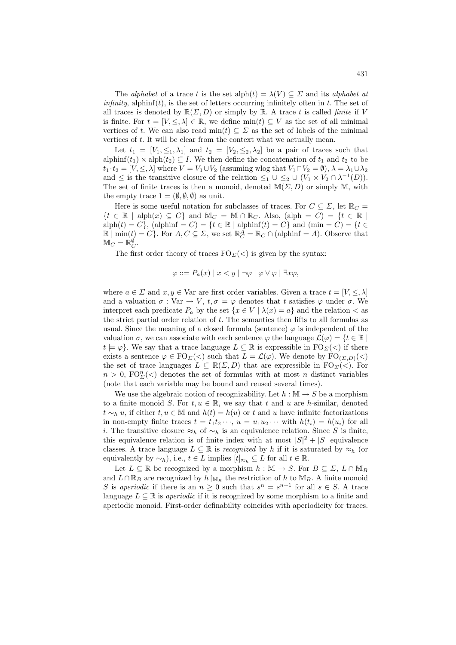The alphabet of a trace t is the set  $\text{alph}(t) = \lambda(V) \subseteq \Sigma$  and its alphabet at *infinity*, alphinf $(t)$ , is the set of letters occurring infinitely often in t. The set of all traces is denoted by  $\mathbb{R}(\Sigma, D)$  or simply by R. A trace t is called finite if V is finite. For  $t = [V, \leq, \lambda] \in \mathbb{R}$ , we define  $\min(t) \subseteq V$  as the set of all minimal vertices of t. We can also read  $\min(t) \subseteq \Sigma$  as the set of labels of the minimal vertices of t. It will be clear from the context what we actually mean.

Let  $t_1 = [V_1, \leq_1, \lambda_1]$  and  $t_2 = [V_2, \leq_2, \lambda_2]$  be a pair of traces such that alphinf $(t_1) \times \text{alph}(t_2) \subseteq I$ . We then define the concatenation of  $t_1$  and  $t_2$  to be  $t_1 \cdot t_2 = [V, \leq, \lambda]$  where  $V = V_1 \cup V_2$  (assuming wlog that  $V_1 \cap V_2 = \emptyset$ ),  $\lambda = \lambda_1 \cup \lambda_2$ and  $\leq$  is the transitive closure of the relation  $\leq_1 \cup \leq_2 \cup (V_1 \times V_2 \cap \lambda^{-1}(D)).$ The set of finite traces is then a monoid, denoted  $M(\Sigma, D)$  or simply M, with the empty trace  $1 = (\emptyset, \emptyset, \emptyset)$  as unit.

Here is some useful notation for subclasses of traces. For  $C \subseteq \Sigma$ , let  $\mathbb{R}_C =$  ${t \in \mathbb{R} \mid \text{alph}(x) \subseteq C}$  and  $\mathbb{M}_C = \mathbb{M} \cap \mathbb{R}_C$ . Also,  $(\text{alph} = C) = {t \in \mathbb{R} \mid \text{alph}(x) \subseteq C}$  $a\text{h}(t) = C$ ,  $(a\text{h}(t) = C) = \{t \in \mathbb{R} \mid a\text{h}(t) = C\}$  and  $(\min = C) = \{t \in \mathbb{R} \mid a\text{h}(t) = C\}$  $\mathbb{R} \mid \min(t) = C$ . For  $A, C \subseteq \Sigma$ , we set  $\mathbb{R}_C^A = \mathbb{R}_C \cap (\text{alphinf} = A)$ . Observe that  $\mathbb{M}_C = \mathbb{R}_C^{\emptyset}.$ 

The first order theory of traces  $FO_{\Sigma}(<)$  is given by the syntax:

$$
\varphi ::= P_a(x) | x < y | \neg \varphi | \varphi \vee \varphi | \exists x \varphi,
$$

where  $a \in \Sigma$  and  $x, y \in \text{Var}$  are first order variables. Given a trace  $t = [V, \leq, \lambda]$ and a valuation  $\sigma : \text{Var} \to V$ ,  $t, \sigma \models \varphi$  denotes that t satisfies  $\varphi$  under  $\sigma$ . We interpret each predicate  $P_a$  by the set  $\{x \in V \mid \lambda(x) = a\}$  and the relation  $\langle$  as the strict partial order relation of  $t$ . The semantics then lifts to all formulas as usual. Since the meaning of a closed formula (sentence)  $\varphi$  is independent of the valuation  $\sigma$ , we can associate with each sentence  $\varphi$  the language  $\mathcal{L}(\varphi) = \{t \in \mathbb{R} \mid \varphi\}$  $t \models \varphi$ . We say that a trace language  $L \subseteq \mathbb{R}$  is expressible in  $\mathrm{FO}_{\Sigma}(\langle \cdot \rangle)$  if there exists a sentence  $\varphi \in \mathrm{FO}_{\Sigma}(\langle)$  such that  $L = \mathcal{L}(\varphi)$ . We denote by  $\mathrm{FO}_{(\Sigma,D)}(\langle)$ the set of trace languages  $L \subseteq \mathbb{R}(\Sigma, D)$  that are expressible in  $\mathrm{FO}_{\Sigma}(\le)$ . For  $n > 0$ ,  $\text{FO}_{\Sigma}^{n}(<)$  denotes the set of formulas with at most n distinct variables (note that each variable may be bound and reused several times).

We use the algebraic notion of recognizability. Let  $h : \mathbb{M} \to S$  be a morphism to a finite monoid S. For  $t, u \in \mathbb{R}$ , we say that t and u are h-similar, denoted  $t \sim_h u$ , if either  $t, u \in \mathbb{M}$  and  $h(t) = h(u)$  or  $t$  and  $u$  have infinite factorizations in non-empty finite traces  $t = t_1t_2\cdots, u = u_1u_2\cdots$  with  $h(t_i) = h(u_i)$  for all i. The transitive closure  $\approx_h$  of  $\sim_h$  is an equivalence relation. Since S is finite, this equivalence relation is of finite index with at most  $|S|^2 + |S|$  equivalence classes. A trace language  $L \subseteq \mathbb{R}$  is recognized by h if it is saturated by  $\approx_h$  (or equivalently by  $\sim_h$ ), i.e.,  $t \in L$  implies  $[t]_{\approx_h} \subseteq L$  for all  $t \in \mathbb{R}$ .

Let  $L \subseteq \mathbb{R}$  be recognized by a morphism  $h : \mathbb{M} \to S$ . For  $B \subseteq \Sigma$ ,  $L \cap \mathbb{M}_B$ and  $L \cap \mathbb{R}_B$  are recognized by  $h \upharpoonright_{\mathbb{M}_B}$  the restriction of h to  $\mathbb{M}_B$ . A finite monoid S is aperiodic if there is an  $n \geq 0$  such that  $s^n = s^{n+1}$  for all  $s \in S$ . A trace language  $L \subseteq \mathbb{R}$  is aperiodic if it is recognized by some morphism to a finite and aperiodic monoid. First-order definability coincides with aperiodicity for traces.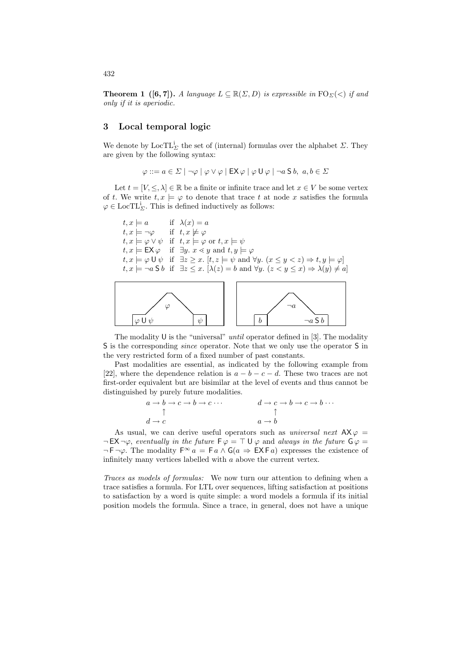**Theorem 1** ([6,7]). A language  $L \subseteq \mathbb{R}(\Sigma, D)$  is expressible in  $\mathrm{FO}_{\Sigma}(<)$  if and only if it is aperiodic.

### 3 Local temporal logic

We denote by  $LocTL^i_{\Sigma}$  the set of (internal) formulas over the alphabet  $\Sigma$ . They are given by the following syntax:

 $\varphi ::= a \in \Sigma \mid \neg \varphi \mid \varphi \vee \varphi \mid \textsf{EX} \varphi \mid \varphi \cup \varphi \mid \neg a \mathsf{S} b, \ a, b \in \Sigma$ 

Let  $t = [V, \leq, \lambda] \in \mathbb{R}$  be a finite or infinite trace and let  $x \in V$  be some vertex of t. We write  $t, x \models \varphi$  to denote that trace t at node x satisfies the formula  $\varphi \in \text{LocTL}_{\Sigma}^i$ . This is defined inductively as follows:

 $t, x \models a$  if  $\lambda(x) = a$  $t, x \models \neg \varphi$  if  $t, x \not\models \varphi$  $t, x \models \varphi \vee \psi \text{ if } t, x \models \varphi \text{ or } t, x \models \psi$  $t, x \models \mathsf{EX} \varphi \quad \text{if } \exists y. \ x \lessdot y \text{ and } t, y \models \varphi$  $t, x \models \varphi \cup \psi$  if  $\exists z \geq x$ .  $[t, z \models \psi \text{ and } \forall y \in (x \leq y \leq z) \Rightarrow t, y \models \varphi]$  $t, x \models \neg a \mathsf{S} b$  if  $\exists z \leq x$ .  $[\lambda(z) = b \text{ and } \forall y \in (z \leq y \leq x) \Rightarrow \lambda(y) \neq a]$ 



The modality  $U$  is the "universal" *until* operator defined in [3]. The modality S is the corresponding *since* operator. Note that we only use the operator S in the very restricted form of a fixed number of past constants.

Past modalities are essential, as indicated by the following example from [22], where the dependence relation is  $a - b - c - d$ . These two traces are not first-order equivalent but are bisimilar at the level of events and thus cannot be distinguished by purely future modalities.

$$
a \to b \to c \to b \to c \cdots
$$
\n
$$
\uparrow
$$
\n
$$
d \to c
$$
\n
$$
\uparrow
$$
\n
$$
d \to c
$$
\n
$$
a \to b
$$

As usual, we can derive useful operators such as *universal next*  $AX \varphi =$  $\neg$  EX $\neg \varphi$ , eventually in the future  $F \varphi = \top U \varphi$  and always in the future  $G \varphi =$  $\neg \mathsf{F} \neg \varphi$ . The modality  $\mathsf{F}^\infty a = \mathsf{F} a \wedge \mathsf{G} (a \Rightarrow \mathsf{EX} \mathsf{F} a)$  expresses the existence of infinitely many vertices labelled with a above the current vertex.

Traces as models of formulas: We now turn our attention to defining when a trace satisfies a formula. For LTL over sequences, lifting satisfaction at positions to satisfaction by a word is quite simple: a word models a formula if its initial position models the formula. Since a trace, in general, does not have a unique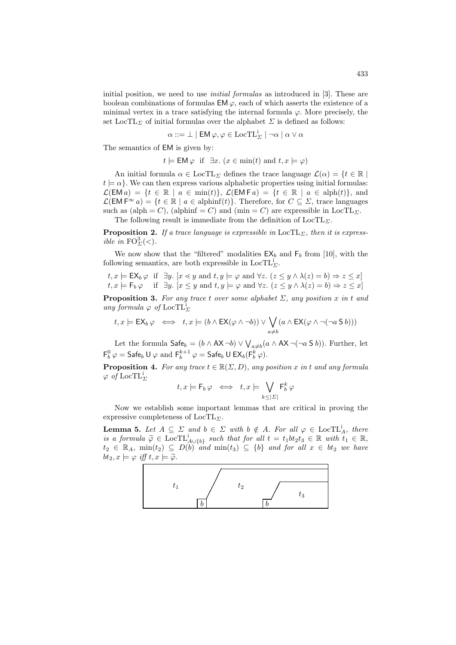initial position, we need to use initial formulas as introduced in [3]. These are boolean combinations of formulas  $EM \varphi$ , each of which asserts the existence of a minimal vertex in a trace satisfying the internal formula  $\varphi$ . More precisely, the set LocTL<sub>Σ</sub> of initial formulas over the alphabet  $\Sigma$  is defined as follows:

$$
\alpha ::= \bot \mid \mathsf{EM} \, \varphi, \varphi \in \mathsf{LocTL}^{\mathbf{i}}_{\Sigma} \mid \neg \alpha \mid \alpha \vee \alpha
$$

The semantics of EM is given by:

 $t \models \textsf{EM} \varphi \text{ if } \exists x. (x \in \min(t) \text{ and } t, x \models \varphi)$ 

An initial formula  $\alpha \in \text{LocTL}_{\Sigma}$  defines the trace language  $\mathcal{L}(\alpha) = \{t \in \mathbb{R} \mid \alpha \in \mathbb{R} \mid \alpha \in \mathbb{R} \mid \alpha \in \mathbb{R} \mid \alpha \in \mathbb{R} \mid \alpha \in \mathbb{R} \}$  $t \models \alpha$ . We can then express various alphabetic properties using initial formulas:  $\mathcal{L}(\text{EM } a) = \{t \in \mathbb{R} \mid a \in \min(t)\}, \mathcal{L}(\text{EM } \text{FA}) = \{t \in \mathbb{R} \mid a \in \text{alph}(t)\},\text{ and}$  $\mathcal{L}(\text{EM F}^{\infty} a) = \{t \in \mathbb{R} \mid a \in \text{alphinf}(t)\}.$  Therefore, for  $C \subseteq \Sigma$ , trace languages such as (alph = C), (alphinf = C) and (min = C) are expressible in LocTL<sub> $\Sigma$ </sub>.

The following result is immediate from the definition of  $LocTL<sub>Σ</sub>$ .

**Proposition 2.** If a trace language is expressible in LocTL<sub> $\Sigma$ </sub>, then it is express*ible in*  $\text{FO}_{\Sigma}^3(<)$ .

We now show that the "filtered" modalities  $EX_b$  and  $F_b$  from [10], with the following semantics, are both expressible in  $\mathsf{LocTL}_\Sigma^i$ .

$$
t, x \models \mathsf{EX}_b \varphi \text{ if } \exists y. \ [x \le y \text{ and } t, y \models \varphi \text{ and } \forall z. \ (z \le y \land \lambda(z) = b) \Rightarrow z \le x]
$$
  

$$
t, x \models \mathsf{F}_b \varphi \text{ if } \exists y. \ [x \le y \text{ and } t, y \models \varphi \text{ and } \forall z. \ (z \le y \land \lambda(z) = b) \Rightarrow z \le x]
$$

**Proposition 3.** For any trace t over some alphabet  $\Sigma$ , any position x in t and any formula  $\varphi$  of  $\mathrm{LocTL}_{\Sigma}^{\mathrm{i}}$ 

$$
t,x\models \mathsf{EX}_b\,\varphi\;\iff\; t,x\models (b\wedge\mathsf{EX}(\varphi\wedge\neg b))\vee\bigvee_{a\neq b}(a\wedge\mathsf{EX}(\varphi\wedge\neg(\neg a\mathsf{S}\,b)))
$$

Let the formula  $\mathsf{Safe}_b = (b \land \mathsf{AX} \neg b) \lor \bigvee_{a \neq b} (a \land \mathsf{AX} \neg (\neg a \mathsf{S} b))$ . Further, let  $\mathsf{F}^0_b\,\varphi = \mathsf{Safe}_b\ \mathsf{U}\ \varphi\ \text{and}\ \mathsf{F}^{k+1}_b\,\varphi = \mathsf{Safe}_b\ \mathsf{U}\ \mathsf{EX}_b(\mathsf{F}^k_b\,\varphi).$ 

**Proposition 4.** For any trace  $t \in \mathbb{R}(\Sigma, D)$ , any position x in t and any formula  $\varphi$  of  ${\rm LocTL}^{\rm i}_\varSigma$ 

$$
t, x \models \mathsf{F}_b \, \varphi \iff t, x \models \bigvee_{k \leq |\varSigma|} \mathsf{F}_b^k \, \varphi
$$

Now we establish some important lemmas that are critical in proving the expressive completeness of  $LocTL<sub>Σ</sub>$ .

**Lemma 5.** Let  $A \subseteq \Sigma$  and  $b \in \Sigma$  with  $b \notin A$ . For all  $\varphi \in \mathrm{LocTL}_A^1$ , there is a formula  $\widetilde{\varphi} \in \text{LocTL}_{A\cup \{b\}}^i$  such that for all  $t = t_1bt_2t_3 \in \mathbb{R}$  with  $t_1 \in \mathbb{R}$ ,<br> $t_1 \in \mathbb{R}$ ,  $\min(t_1) \subset D(b)$  and  $\min(t_2) \subset D(b)$  and for all  $x \in \mathbb{R}$ , and have  $t_2 \in \mathbb{R}_A$ ,  $\min(t_2) \subseteq D(b)$  and  $\min(t_3) \subseteq \{b\}$  and for all  $x \in bt_2$  we have  $bt_2, x \models \varphi \text{ iff } t, x \models \widetilde{\varphi}.$ 

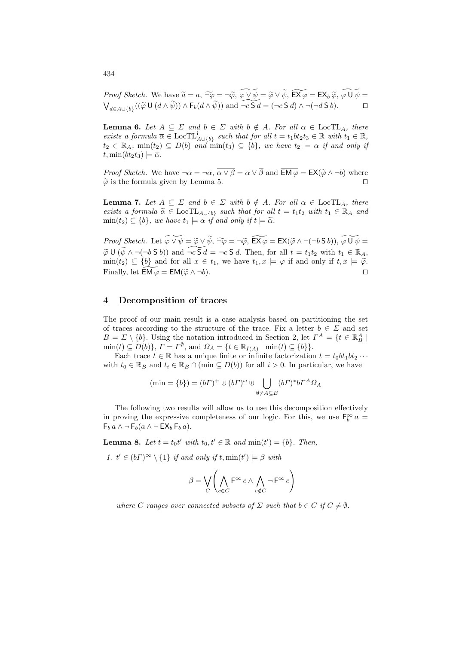*Proof Sketch.* We have  $\tilde{a} = a$ ,  $\tilde{\neg \varphi} = \tilde{\neg \varphi}$ ,  $\tilde{\varphi \vee \psi} = \tilde{\varphi} \vee \tilde{\psi}$ ,  $\widetilde{\mathsf{EX} \varphi} = \mathsf{EX}_b \tilde{\varphi}$ ,  $\tilde{\varphi} \overline{\mathsf{U} \psi} = \bigvee_{\mathsf{A} \in \mathcal{A} \cup \mathsf{B}} ((\tilde{\varphi} \mathsf{U} (d \wedge \tilde{\psi})) \wedge \mathsf{F}_b (d \wedge \tilde{\psi}))$   $\bigvee_{d \in A \cup \{b\}} ((\widetilde{\varphi} \cup (d \wedge \widetilde{\psi})) \wedge \mathsf{F}_b(d \wedge \widetilde{\psi})) \text{ and } \widetilde{\neg c \mathsf{S} d} = (\neg c \mathsf{S} d) \wedge \neg (\neg d \mathsf{S} b).$ 

**Lemma 6.** Let  $A \subseteq \Sigma$  and  $b \in \Sigma$  with  $b \notin A$ . For all  $\alpha \in \text{LocTL}_A$ , there exists a formula  $\overline{\alpha} \in \text{LocTL}_{A\cup \{b\}}^i$  such that for all  $t = t_1bt_2t_3 \in \mathbb{R}$  with  $t_1 \in \mathbb{R}$ ,  $t_2 \in \mathbb{R}_A$ ,  $\min(t_2) \subseteq D(b)$  and  $\min(t_3) \subseteq \{b\}$ , we have  $t_2 \models \alpha$  if and only if  $t, \min(bt_2t_3) \models \overline{\alpha}.$ 

*Proof Sketch.* We have  $\overline{\neg \alpha} = \overline{\neg \alpha}$ ,  $\overline{\alpha \vee \beta} = \overline{\alpha} \vee \overline{\beta}$  and  $\overline{\mathsf{EM}\varphi} = \mathsf{EX}(\widetilde{\varphi} \wedge \neg b)$  where  $\widetilde{\varphi}$  is the formula given by Lemma 5  $\tilde{\varphi}$  is the formula given by Lemma 5.

**Lemma 7.** Let  $A \subseteq \Sigma$  and  $b \in \Sigma$  with  $b \notin A$ . For all  $\alpha \in \text{LocTL}_A$ , there exists a formula  $\widetilde{\alpha} \in \text{LocTL}_{A\cup \{b\}}$  such that for all  $t = t_1t_2$  with  $t_1 \in \mathbb{R}_A$  and  $\min(t_2) \subseteq \{b\}$ , we have  $t_1 \models \alpha$  if and only if  $t \models \tilde{\alpha}$ .

Proof Sketch. Let  $\widetilde{\varphi \vee \psi} = \widetilde{\varphi} \vee \widetilde{\psi}, \widetilde{\neg \varphi} = \neg \widetilde{\varphi}, \widetilde{\mathsf{EX}} \varphi = \mathsf{EX}(\widetilde{\varphi} \wedge \neg(\neg b \mathsf{ S} b)), \widetilde{\varphi \cup \psi} =$  $\widetilde{\varphi} \cup (\widetilde{\psi} \wedge \neg(\neg b \wedge b))$  and  $\widetilde{\neg c \wedge d} = \neg c \wedge d$ . Then, for all  $t = t_1t_2$  with  $t_1 \in \mathbb{R}_A$ ,  $\min(t_2) \subseteq \{b\}$  and for all  $x \in t_1$ , we have  $t_1, x \models \varphi$  if and only if  $t, x \models \tilde{\varphi}$ .<br>Finally let  $\mathsf{FM}(\varphi) = \mathsf{FM}(\tilde{\varphi} \wedge \neg b)$ Finally, let  $\widetilde{\mathsf{EM}}\varphi = \mathsf{EM}(\widetilde{\varphi} \wedge \neg b).$ 

#### 4 Decomposition of traces

The proof of our main result is a case analysis based on partitioning the set of traces according to the structure of the trace. Fix a letter  $b \in \Sigma$  and set  $B = \Sigma \setminus \{b\}.$  Using the notation introduced in Section 2, let  $\Gamma^A = \{t \in \mathbb{R}^A_B | \}$  $\min(t) \subseteq D(b)$ ,  $\Gamma = \Gamma^{\emptyset}$ , and  $\Omega_A = \{t \in \mathbb{R}_{I(A)} \mid \min(t) \subseteq \{b\} \}.$ 

Each trace  $t \in \mathbb{R}$  has a unique finite or infinite factorization  $t = t_0bt_1bt_2 \cdots$ with  $t_0 \in \mathbb{R}_B$  and  $t_i \in \mathbb{R}_B \cap (\min \subseteq D(b))$  for all  $i > 0$ . In particular, we have

$$
(\min = \{b\}) = (b\Gamma)^+ \uplus (b\Gamma)^{\omega} \uplus \bigcup_{\emptyset \neq A \subseteq B} (b\Gamma)^* b\Gamma^A \Omega_A
$$

The following two results will allow us to use this decomposition effectively in proving the expressive completeness of our logic. For this, we use  $\mathsf{F}_{b}^{\infty}\mathfrak{a}$  =  $\mathsf{F}_b a \wedge \neg \mathsf{F}_b (a \wedge \neg \mathsf{EX}_b \mathsf{F}_b a).$ 

**Lemma 8.** Let  $t = t_0 t'$  with  $t_0, t' \in \mathbb{R}$  and  $\min(t') = \{b\}$ . Then,

1.  $t' \in (b\Gamma)^\infty \setminus \{1\}$  if and only if  $t, \min(t') \models \beta$  with

$$
\beta = \bigvee_C \left( \bigwedge_{c \in C} \mathsf{F}^\infty \, c \wedge \bigwedge_{c \notin C} \neg \, \mathsf{F}^\infty \, c \right)
$$

where C ranges over connected subsets of  $\Sigma$  such that  $b \in C$  if  $C \neq \emptyset$ .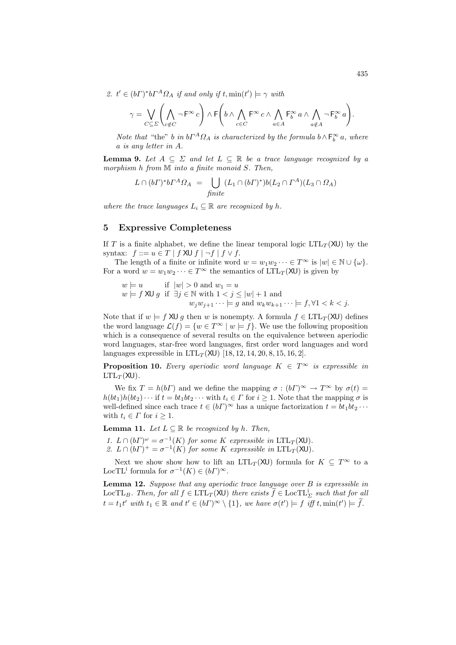2.  $t' \in (b\Gamma)^* b\Gamma^A \Omega_A$  if and only if  $t, \min(t') \models \gamma$  with

$$
\gamma = \bigvee_{C \subseteq \Sigma} \left( \bigwedge_{c \notin C} \neg F^{\infty} c \right) \wedge F \left( b \wedge \bigwedge_{c \in C} F^{\infty} c \wedge \bigwedge_{a \in A} F^{\infty} a \wedge \bigwedge_{a \notin A} \neg F^{\infty} a \right).
$$

Note that "the" b in  $b\Gamma^A\Omega_A$  is characterized by the formula  $b \wedge \mathsf{F}_b^{\infty} a$ , where a is any letter in A.

**Lemma 9.** Let  $A \subseteq \Sigma$  and let  $L \subseteq \mathbb{R}$  be a trace language recognized by a morphism  $h$  from  $M$  into a finite monoid  $S$ . Then,

$$
L \cap (b\Gamma)^* b\Gamma^A \Omega_A = \bigcup_{\text{finite}} (L_1 \cap (b\Gamma)^*) b(L_2 \cap \Gamma^A)(L_3 \cap \Omega_A)
$$

where the trace languages  $L_i \subseteq \mathbb{R}$  are recognized by h.

#### 5 Expressive Completeness

If T is a finite alphabet, we define the linear temporal logic  $LTL_T(XU)$  by the syntax:  $f ::= u \in T | f \times U f | \neg f | f \vee f$ .

The length of a finite or infinite word  $w = w_1w_2 \cdots \in T^{\infty}$  is  $|w| \in \mathbb{N} \cup \{\omega\}.$ For a word  $w = w_1w_2 \cdots \in T^{\infty}$  the semantics of  $LTL_T(\mathsf{XU})$  is given by

 $w \models u$  if  $|w| > 0$  and  $w_1 = u$  $w \models f \mathsf{X} \cup g \text{ if } \exists j \in \mathbb{N} \text{ with } 1 < j \leq |w| + 1 \text{ and }$  $w_iw_{i+1}\cdots \models g$  and  $w_kw_{k+1}\cdots \models f, \forall 1 < k < j$ .

Note that if  $w \models f \mathsf{X} \cup g$  then w is nonempty. A formula  $f \in \text{LTL}_T(\mathsf{X} \cup g)$  defines the word language  $\mathcal{L}(f) = \{w \in T^{\infty} \mid w \models f\}$ . We use the following proposition which is a consequence of several results on the equivalence between aperiodic word languages, star-free word languages, first order word languages and word languages expressible in  $LTL_T(XU)$  [18, 12, 14, 20, 8, 15, 16, 2].

**Proposition 10.** Every aperiodic word language  $K \in T^{\infty}$  is expressible in  $LTL_T(XU)$ .

We fix  $T = h(b\Gamma)$  and we define the mapping  $\sigma : (b\Gamma)^\infty \to T^\infty$  by  $\sigma(t) =$  $h(bt_1)h(bt_2)\cdots$  if  $t = bt_1bt_2\cdots$  with  $t_i \in \Gamma$  for  $i \geq 1$ . Note that the mapping  $\sigma$  is well-defined since each trace  $t \in (b\Gamma)^\infty$  has a unique factorization  $t = bt_1bt_2 \cdots$ with  $t_i \in \Gamma$  for  $i \geq 1$ .

**Lemma 11.** Let  $L \subseteq \mathbb{R}$  be recognized by h. Then,

- 1.  $L \cap (b\Gamma)^{\omega} = \sigma^{-1}(K)$  for some K expressible in  $LTL_T(\mathsf{XU})$ .
- 2.  $L \cap (b\Gamma)^+ = \sigma^{-1}(K)$  for some K expressible in  $LTL_T(XU)$ .

Next we show show how to lift an LTL<sub>T</sub>(XU) formula for  $K \subseteq T^{\infty}$  to a LocTL<sup>i</sup> formula for  $\sigma^{-1}(K) \in (b\Gamma)^{\infty}$ .

**Lemma 12.** Suppose that any aperiodic trace language over  $B$  is expressible in LocTL<sub>B</sub>. Then, for all  $f \in \text{LTL}_T(\text{XU})$  there exists  $\widetilde{f} \in \text{LocTL}_{\Sigma}^{\text{i}}$  such that for all  $t = t_1 t'$  with  $t_1 \in \mathbb{R}$  and  $t' \in (b\Gamma)^{\infty} \setminus \{1\}$ , we have  $\sigma(t') \models f$  iff  $t, \min(t') \models \tilde{f}$ .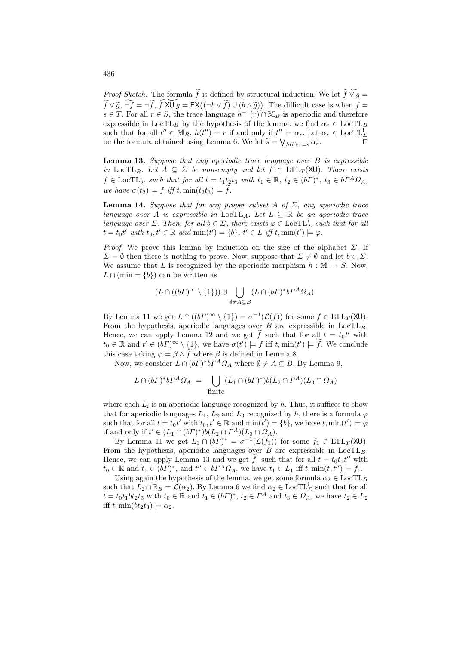*Proof Sketch.* The formula  $\widetilde{f}$  is defined by structural induction. We let  $\widetilde{f \vee g}$  =  $\widetilde{f} \vee \widetilde{g}, \widetilde{\neg f} = \neg \widetilde{f}, \widetilde{f} \times \widetilde{U} g = \mathsf{EX}((\neg b \vee \widetilde{f}) \cup (b \wedge \widetilde{g}))$ . The difficult case is when  $f =$ <br> $e \in T$ . For all  $r \in S$ , the trace language  $h^{-1}(r) \cap \mathbb{M}$  is aperiodic and therefore  $s \in T$ . For all  $r \in S$ , the trace language  $h^{-1}(r) \cap M_B$  is aperiodic and therefore expressible in LocTL<sub>B</sub> by the hypothesis of the lemma: we find  $\alpha_r \in \text{LocTL}_B$ such that for all  $t'' \in M_B$ ,  $h(t'') = r$  if and only if  $t'' \models \alpha_r$ . Let  $\overline{\alpha_r} \in \text{LocTL}_{\Sigma}^{\text{i}}$ be the formula obtained using Lemma 6. We let  $\widetilde{s} = \bigvee_{h(b)\cdot r=s} \overline{\alpha_r}$ .

**Lemma 13.** Suppose that any aperiodic trace language over  $B$  is expressible in LocTL<sub>B</sub>. Let  $A \subseteq \Sigma$  be non-empty and let  $f \in \text{LTL}_T(\mathsf{XU})$ . There exists  $\widetilde{f} \in \text{LocTL}_{\Sigma}^{\text{i}} \text{ such that for all } t = t_1t_2t_3 \text{ with } t_1 \in \mathbb{R}, t_2 \in (b\Gamma)^*, t_3 \in b\Gamma^A\Omega_A,$ we have  $\sigma(t_2) \models f$  iff t,  $\min(t_2t_3) \models \tilde{f}$ .

**Lemma 14.** Suppose that for any proper subset A of  $\Sigma$ , any aperiodic trace language over A is expressible in LocTL<sub>A</sub>. Let  $L \subseteq \mathbb{R}$  be an aperiodic trace language over  $\Sigma$ . Then, for all  $b \in \Sigma$ , there exists  $\varphi \in LocTL_{\Sigma}^{\mathbf{i}}$  such that for all  $t = t_0 t'$  with  $t_0, t' \in \mathbb{R}$  and  $\min(t') = \{b\}, t' \in L$  iff  $t, \min(t') \models \varphi$ .

*Proof.* We prove this lemma by induction on the size of the alphabet  $\Sigma$ . If  $\Sigma = \emptyset$  then there is nothing to prove. Now, suppose that  $\Sigma \neq \emptyset$  and let  $b \in \Sigma$ . We assume that L is recognized by the aperiodic morphism  $h : \mathbb{M} \to S$ . Now,  $L \cap (\min = \{b\})$  can be written as

$$
(L \cap ((b\Gamma)^{\infty} \setminus \{1\})) \uplus \bigcup_{\emptyset \neq A \subseteq B} (L \cap (b\Gamma)^* b\Gamma^A \Omega_A).
$$

By Lemma 11 we get  $L \cap ((b\Gamma)^{\infty} \setminus \{1\}) = \sigma^{-1}(\mathcal{L}(f))$  for some  $f \in \text{LTL}_T(\mathsf{XU})$ . From the hypothesis, aperiodic languages over  $B$  are expressible in LocTL<sub>B</sub>. Hence, we can apply Lemma 12 and we get  $\tilde{f}$  such that for all  $t = t_0 t'$  with  $t_0 \in \mathbb{R}$  and  $t' \in (b\Gamma)^{\infty} \setminus \{1\}$ , we have  $\sigma(t') \models f$  iff  $t, \min(t') \models \tilde{f}$ . We conclude this case taking  $\varphi = \beta \wedge f$  where  $\beta$  is defined in Lemma 8.

Now, we consider  $L \cap (b\Gamma)^* b\Gamma^A \Omega_A$  where  $\emptyset \neq A \subseteq B$ . By Lemma 9,

$$
L \cap (b\Gamma)^* b\Gamma^A \Omega_A = \bigcup_{\text{finite}} (L_1 \cap (b\Gamma)^*) b(L_2 \cap \Gamma^A)(L_3 \cap \Omega_A)
$$

where each  $L_i$  is an aperiodic language recognized by  $h$ . Thus, it suffices to show that for aperiodic languages  $L_1, L_2$  and  $L_3$  recognized by h, there is a formula  $\varphi$ such that for all  $t = t_0 t'$  with  $t_0, t' \in \mathbb{R}$  and  $\min(t') = \{b\}$ , we have  $t, \min(t') \models \varphi$ if and only if  $t' \in (L_1 \cap (b\Gamma)^*) b(L_2 \cap \Gamma^A)(L_3 \cap \Omega_A)$ .

By Lemma 11 we get  $L_1 \cap (b\Gamma)^* = \sigma^{-1}(\mathcal{L}(f_1))$  for some  $f_1 \in \text{LTL}_T(\mathsf{XU})$ . From the hypothesis, aperiodic languages over  $B$  are expressible in LocTL<sub>B</sub>. Hence, we can apply Lemma 13 and we get  $\tilde{f}_1$  such that for all  $t = t_0 t_1 t''$  with  $t_0 \in \mathbb{R}$  and  $t_1 \in (b\Gamma)^*$ , and  $t'' \in b\Gamma^A\Omega_A$ , we have  $t_1 \in L_1$  iff  $t$ ,  $\min(t_1t'') \models \widetilde{f}_1$ .

Using again the hypothesis of the lemma, we get some formula  $\alpha_2 \in \text{LocTL}_B$ such that  $L_2 \cap \mathbb{R}_B = \mathcal{L}(\alpha_2)$ . By Lemma 6 we find  $\overline{\alpha_2} \in \text{LocTL}_{\Sigma}^1$  such that for all  $t = t_0 t_1 b t_2 t_3$  with  $t_0 \in \mathbb{R}$  and  $t_1 \in (b\Gamma)^*$ ,  $t_2 \in \Gamma^A$  and  $t_3 \in \Omega_A$ , we have  $t_2 \in L_2$ iff  $t, \min(bt_2t_3) \models \overline{\alpha_2}.$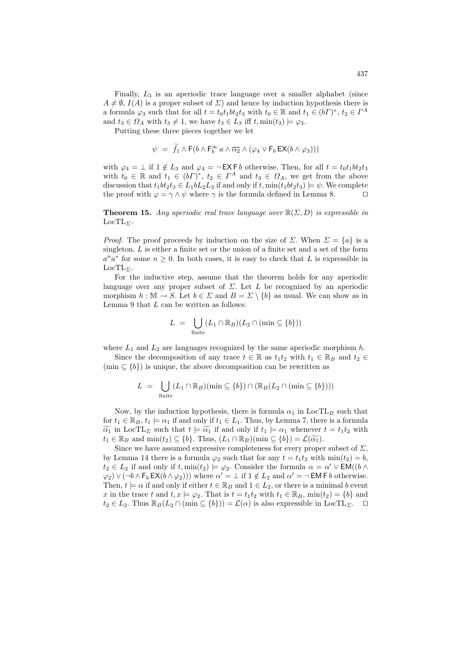Finally,  $L_3$  is an aperiodic trace language over a smaller alphabet (since  $A \neq \emptyset$ ,  $I(A)$  is a proper subset of  $\Sigma$ ) and hence by induction hypothesis there is a formula  $\varphi_3$  such that for all  $t = t_0 t_1 b t_2 t_3$  with  $t_0 \in \mathbb{R}$  and  $t_1 \in (b\Gamma)^*$ ,  $t_2 \in \Gamma^A$ and  $t_3 \in \Omega_A$  with  $t_3 \neq 1$ , we have  $t_3 \in L_3$  iff  $t, \min(t_3) \models \varphi_3$ .

Putting these three pieces together we let

$$
\psi = \widetilde{f}_1 \wedge \mathsf{F}(b \wedge \mathsf{F}_b^{\infty} \, a \wedge \overline{\alpha_2} \wedge (\varphi_4 \vee \mathsf{F}_b \, \mathsf{EX}(b \wedge \varphi_3)))
$$

with  $\varphi_4 = \bot$  if  $1 \notin L_3$  and  $\varphi_4 = \neg$  EXF b otherwise. Then, for all  $t = t_0 t_1 b t_2 t_3$ with  $t_0 \in \mathbb{R}$  and  $t_1 \in (b\Gamma)^*$ ,  $t_2 \in \Gamma^A$  and  $t_3 \in \Omega_A$ , we get from the above discussion that  $t_1bt_2t_3 \in L_1bL_2L_3$  if and only if  $t$ ,  $min(t_1bt_2t_3) \models \psi$ . We complete the proof with  $\varphi = \gamma \wedge \psi$  where  $\gamma$  is the formula defined in Lemma 8.

**Theorem 15.** Any aperiodic real trace language over  $\mathbb{R}(\Sigma, D)$  is expressible in  $LocTL_{\Sigma}$ .

*Proof.* The proof proceeds by induction on the size of  $\Sigma$ . When  $\Sigma = \{a\}$  is a singleton,  $L$  is either a finite set or the union of a finite set and a set of the form  $a^n a^*$  for some  $n \geq 0$ . In both cases, it is easy to check that L is expressible in  $LocTL_{\Sigma}$ .

For the inductive step, assume that the theorem holds for any aperiodic language over any proper subset of  $\Sigma$ . Let L be recognized by an aperiodic morphism  $h : \mathbb{M} \to S$ . Let  $b \in \Sigma$  and  $B = \Sigma \setminus \{b\}$  as usual. We can show as in Lemma 9 that  $L$  can be written as follows:

$$
L = \bigcup_{\text{finite}} (L_1 \cap \mathbb{R}_B)(L_2 \cap (\min \subseteq \{b\}))
$$

where  $L_1$  and  $L_2$  are languages recognized by the same aperiodic morphism h.

Since the decomposition of any trace  $t \in \mathbb{R}$  as  $t_1t_2$  with  $t_1 \in \mathbb{R}_B$  and  $t_2 \in$  $(\min \subseteq \{b\})$  is unique, the above decomposition can be rewritten as

$$
L = \bigcup_{\text{finite}} (L_1 \cap \mathbb{R}_B)(\min \subseteq \{b\}) \cap (\mathbb{R}_B(L_2 \cap (\min \subseteq \{b\})))
$$

Now, by the induction hypothesis, there is formula  $\alpha_1$  in LocTL<sub>B</sub> such that for  $t_1 \in \mathbb{R}_B$ ,  $t_1 \models \alpha_1$  if and only if  $t_1 \in L_1$ . Thus, by Lemma 7, there is a formula  $\widetilde{\alpha_1}$  in LocTL<sub> $\Sigma$ </sub> such that  $t \models \widetilde{\alpha_1}$  if and only if  $t_1 \models \alpha_1$  whenever  $t = t_1t_2$  with  $t_1 \in \mathbb{R}_B$  and  $\min(t_2) \subseteq \{b\}$ . Thus,  $(L_1 \cap \mathbb{R}_B)(\min \subseteq \{b\}) = \mathcal{L}(\widetilde{\alpha_1})$ .

Since we have assumed expressive completeness for every proper subset of  $\Sigma$ , by Lemma 14 there is a formula  $\varphi_2$  such that for any  $t = t_1t_2$  with  $\min(t_2) = b$ ,  $t_2 \in L_2$  if and only if  $t, \min(t_2) \models \varphi_2$ . Consider the formula  $\alpha = \alpha' \vee \text{EM}((b \wedge b) \vee (c \wedge b))$  $(\varphi_2) \vee (\neg b \wedge \mathsf{F}_b \mathsf{EX}(b \wedge \varphi_2)))$  where  $\alpha' = \bot$  if  $1 \notin L_2$  and  $\alpha' = \neg \mathsf{EM} \mathsf{F} b$  otherwise. Then,  $t \models \alpha$  if and only if either  $t \in \mathbb{R}_B$  and  $1 \in L_2$ , or there is a minimal b event x in the trace t and  $t, x \models \varphi_2$ . That is  $t = t_1t_2$  with  $t_1 \in \mathbb{R}_B$ ,  $\min(t_2) = \{b\}$  and  $t_2 \in L_2$ . Thus  $\mathbb{R}_B(L_2 \cap (\min \subseteq \{b\})) = \mathcal{L}(\alpha)$  is also expressible in LocTL<sub> $\Sigma$ </sub>.  $\square$